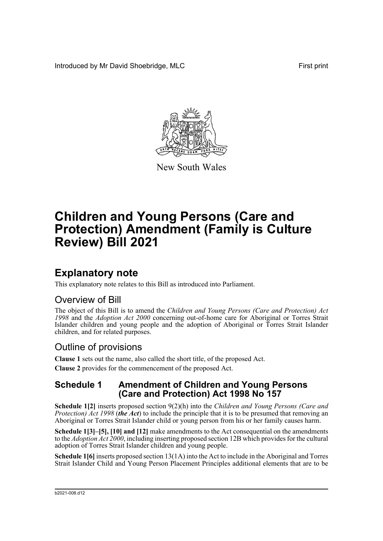Introduced by Mr David Shoebridge, MLC **First print** 



New South Wales

# **Children and Young Persons (Care and Protection) Amendment (Family is Culture Review) Bill 2021**

# **Explanatory note**

This explanatory note relates to this Bill as introduced into Parliament.

# Overview of Bill

The object of this Bill is to amend the *Children and Young Persons (Care and Protection) Act 1998* and the *Adoption Act 2000* concerning out-of-home care for Aboriginal or Torres Strait Islander children and young people and the adoption of Aboriginal or Torres Strait Islander children, and for related purposes.

# Outline of provisions

**Clause 1** sets out the name, also called the short title, of the proposed Act.

**Clause 2** provides for the commencement of the proposed Act.

## **Schedule 1 Amendment of Children and Young Persons (Care and Protection) Act 1998 No 157**

**Schedule 1[2]** inserts proposed section 9(2)(h) into the *Children and Young Persons (Care and Protection) Act 1998 (the Act*) to include the principle that it is to be presumed that removing an Aboriginal or Torres Strait Islander child or young person from his or her family causes harm.

**Schedule 1[3]–[5], [10] and [12]** make amendments to the Act consequential on the amendments to the *Adoption Act 2000*, including inserting proposed section 12B which provides for the cultural adoption of Torres Strait Islander children and young people.

**Schedule 1[6]** inserts proposed section 13(1A) into the Act to include in the Aboriginal and Torres Strait Islander Child and Young Person Placement Principles additional elements that are to be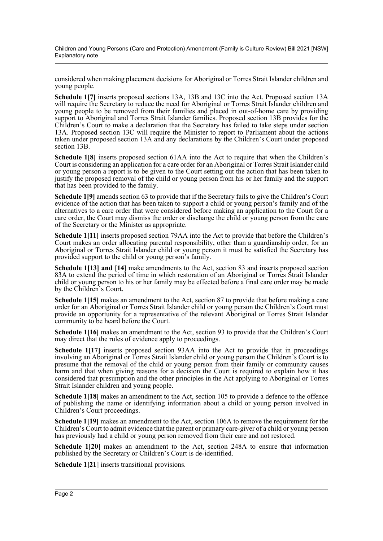Children and Young Persons (Care and Protection) Amendment (Family is Culture Review) Bill 2021 [NSW] Explanatory note

considered when making placement decisions for Aboriginal or Torres Strait Islander children and young people.

**Schedule 1[7]** inserts proposed sections 13A, 13B and 13C into the Act. Proposed section 13A will require the Secretary to reduce the need for Aboriginal or Torres Strait Islander children and young people to be removed from their families and placed in out-of-home care by providing support to Aboriginal and Torres Strait Islander families. Proposed section 13B provides for the Children's Court to make a declaration that the Secretary has failed to take steps under section 13A. Proposed section 13C will require the Minister to report to Parliament about the actions taken under proposed section 13A and any declarations by the Children's Court under proposed section 13B.

**Schedule 1[8]** inserts proposed section 61AA into the Act to require that when the Children's Court is considering an application for a care order for an Aboriginal or Torres Strait Islander child or young person a report is to be given to the Court setting out the action that has been taken to justify the proposed removal of the child or young person from his or her family and the support that has been provided to the family.

**Schedule 1[9]** amends section 63 to provide that if the Secretary fails to give the Children's Court evidence of the action that has been taken to support a child or young person's family and of the alternatives to a care order that were considered before making an application to the Court for a care order, the Court may dismiss the order or discharge the child or young person from the care of the Secretary or the Minister as appropriate.

**Schedule 1[11]** inserts proposed section 79AA into the Act to provide that before the Children's Court makes an order allocating parental responsibility, other than a guardianship order, for an Aboriginal or Torres Strait Islander child or young person it must be satisfied the Secretary has provided support to the child or young person's family.

**Schedule 1[13] and [14]** make amendments to the Act, section 83 and inserts proposed section 83A to extend the period of time in which restoration of an Aboriginal or Torres Strait Islander child or young person to his or her family may be effected before a final care order may be made by the Children's Court.

**Schedule 1[15]** makes an amendment to the Act, section 87 to provide that before making a care order for an Aboriginal or Torres Strait Islander child or young person the Children's Court must provide an opportunity for a representative of the relevant Aboriginal or Torres Strait Islander community to be heard before the Court.

**Schedule 1[16]** makes an amendment to the Act, section 93 to provide that the Children's Court may direct that the rules of evidence apply to proceedings.

**Schedule 1[17]** inserts proposed section 93AA into the Act to provide that in proceedings involving an Aboriginal or Torres Strait Islander child or young person the Children's Court is to presume that the removal of the child or young person from their family or community causes harm and that when giving reasons for a decision the Court is required to explain how it has considered that presumption and the other principles in the Act applying to Aboriginal or Torres Strait Islander children and young people.

**Schedule 1[18]** makes an amendment to the Act, section 105 to provide a defence to the offence of publishing the name or identifying information about a child or young person involved in Children's Court proceedings.

**Schedule 1[19]** makes an amendment to the Act, section 106A to remove the requirement for the Children's Court to admit evidence that the parent or primary care-giver of a child or young person has previously had a child or young person removed from their care and not restored.

**Schedule 1[20]** makes an amendment to the Act, section 248A to ensure that information published by the Secretary or Children's Court is de-identified.

**Schedule 1[21**] inserts transitional provisions.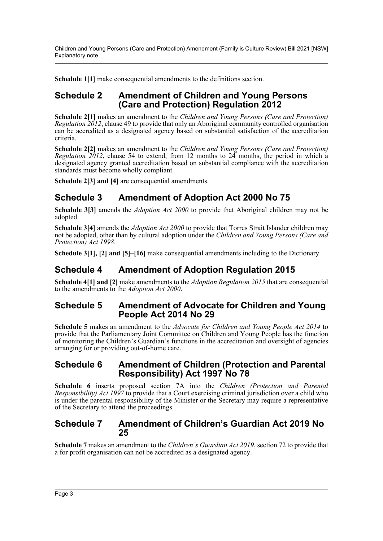Children and Young Persons (Care and Protection) Amendment (Family is Culture Review) Bill 2021 [NSW] Explanatory note

**Schedule 1[1]** make consequential amendments to the definitions section.

### **Schedule 2 Amendment of Children and Young Persons (Care and Protection) Regulation 2012**

**Schedule 2[1]** makes an amendment to the *Children and Young Persons (Care and Protection) Regulation 2012*, clause 49 to provide that only an Aboriginal community controlled organisation can be accredited as a designated agency based on substantial satisfaction of the accreditation criteria.

**Schedule 2[2]** makes an amendment to the *Children and Young Persons (Care and Protection) Regulation* 2012, clause 54 to extend, from 12 months to 24 months, the period in which a designated agency granted accreditation based on substantial compliance with the accreditation standards must become wholly compliant.

**Schedule 2[3] and [4]** are consequential amendments.

## **Schedule 3 Amendment of Adoption Act 2000 No 75**

**Schedule 3[3]** amends the *Adoption Act 2000* to provide that Aboriginal children may not be adopted.

**Schedule 3[4]** amends the *Adoption Act 2000* to provide that Torres Strait Islander children may not be adopted, other than by cultural adoption under the *Children and Young Persons (Care and Protection) Act 1998*.

**Schedule 3[1], [2] and [5]–[16]** make consequential amendments including to the Dictionary.

## **Schedule 4 Amendment of Adoption Regulation 2015**

**Schedule 4[1] and [2]** make amendments to the *Adoption Regulation 2015* that are consequential to the amendments to the *Adoption Act 2000*.

### **Schedule 5 Amendment of Advocate for Children and Young People Act 2014 No 29**

**Schedule 5** makes an amendment to the *Advocate for Children and Young People Act 2014* to provide that the Parliamentary Joint Committee on Children and Young People has the function of monitoring the Children's Guardian's functions in the accreditation and oversight of agencies arranging for or providing out-of-home care.

### **Schedule 6 Amendment of Children (Protection and Parental Responsibility) Act 1997 No 78**

**Schedule 6** inserts proposed section 7A into the *Children (Protection and Parental Responsibility) Act 1997* to provide that a Court exercising criminal jurisdiction over a child who is under the parental responsibility of the Minister or the Secretary may require a representative of the Secretary to attend the proceedings.

### **Schedule 7 Amendment of Children's Guardian Act 2019 No 25**

**Schedule 7** makes an amendment to the *Children's Guardian Act 2019*, section 72 to provide that a for profit organisation can not be accredited as a designated agency.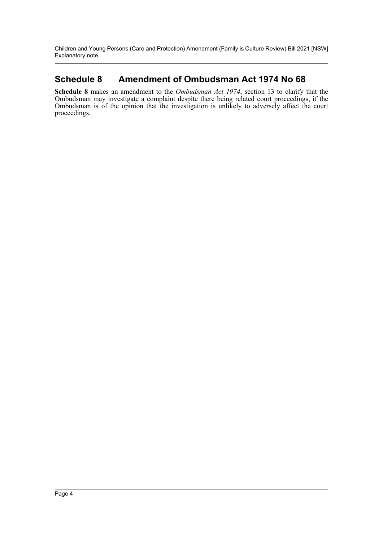Children and Young Persons (Care and Protection) Amendment (Family is Culture Review) Bill 2021 [NSW] Explanatory note

# **Schedule 8 Amendment of Ombudsman Act 1974 No 68**

**Schedule 8** makes an amendment to the *Ombudsman Act 1974*, section 13 to clarify that the Ombudsman may investigate a complaint despite there being related court proceedings, if the Ombudsman is of the opinion that the investigation is unlikely to adversely affect the court proceedings.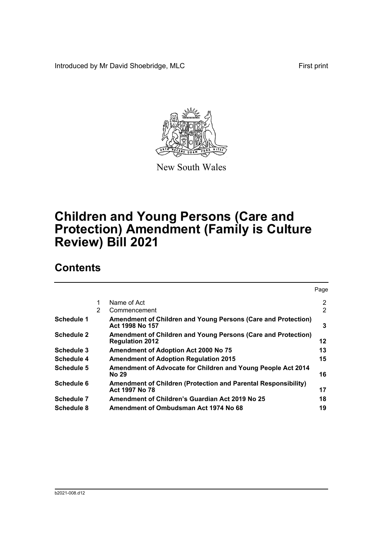Introduced by Mr David Shoebridge, MLC First print



New South Wales

# **Children and Young Persons (Care and Protection) Amendment (Family is Culture Review) Bill 2021**

# **Contents**

|                   |   |                                                                                         | Page                  |
|-------------------|---|-----------------------------------------------------------------------------------------|-----------------------|
|                   | 1 | Name of Act                                                                             | $\mathbf{2}^{\prime}$ |
|                   | 2 | Commencement                                                                            | 2                     |
| Schedule 1        |   | Amendment of Children and Young Persons (Care and Protection)<br>Act 1998 No 157        | 3                     |
| <b>Schedule 2</b> |   | Amendment of Children and Young Persons (Care and Protection)<br><b>Regulation 2012</b> | 12                    |
| Schedule 3        |   | <b>Amendment of Adoption Act 2000 No 75</b>                                             | 13                    |
| Schedule 4        |   | <b>Amendment of Adoption Regulation 2015</b>                                            | 15                    |
| Schedule 5        |   | Amendment of Advocate for Children and Young People Act 2014<br>No 29                   | 16                    |
| Schedule 6        |   | Amendment of Children (Protection and Parental Responsibility)<br>Act 1997 No 78        | 17                    |
| Schedule 7        |   | Amendment of Children's Guardian Act 2019 No 25                                         | 18                    |
| Schedule 8        |   | Amendment of Ombudsman Act 1974 No 68                                                   | 19                    |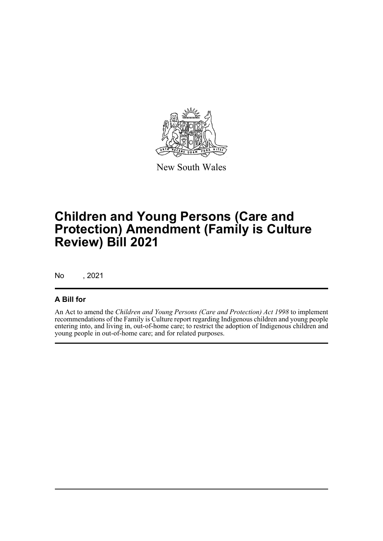

New South Wales

# **Children and Young Persons (Care and Protection) Amendment (Family is Culture Review) Bill 2021**

No , 2021

### **A Bill for**

An Act to amend the *Children and Young Persons (Care and Protection) Act 1998* to implement recommendations of the Family is Culture report regarding Indigenous children and young people entering into, and living in, out-of-home care; to restrict the adoption of Indigenous children and young people in out-of-home care; and for related purposes.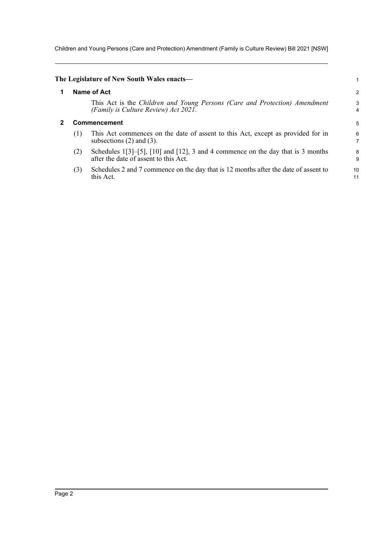Children and Young Persons (Care and Protection) Amendment (Family is Culture Review) Bill 2021 [NSW]

<span id="page-6-1"></span><span id="page-6-0"></span>

|   |     | The Legislature of New South Wales enacts—                                                                                           |
|---|-----|--------------------------------------------------------------------------------------------------------------------------------------|
| 1 |     | Name of Act                                                                                                                          |
|   |     | This Act is the Children and Young Persons (Care and Protection) Amendment<br>(Family is Culture Review) Act 2021.                   |
| 2 |     | Commencement                                                                                                                         |
|   | (1) | This Act commences on the date of assent to this Act, except as provided for in<br>subsections $(2)$ and $(3)$ .                     |
|   | (2) | Schedules $1[3]$ - $[5]$ , $[10]$ and $[12]$ , 3 and 4 commence on the day that is 3 months<br>after the date of assent to this Act. |
|   | (3) | Schedules 2 and 7 commence on the day that is 12 months after the date of assent to<br>this Act.                                     |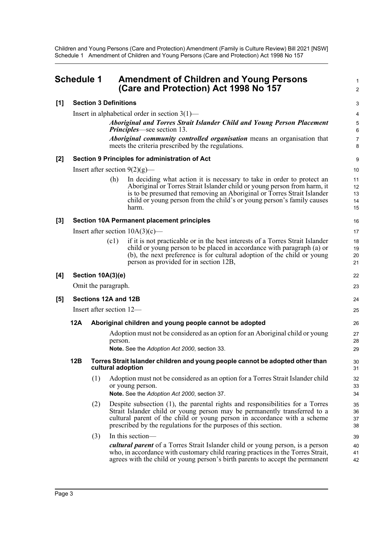<span id="page-7-0"></span>

|       | <b>Schedule 1</b>                                             |                              |         | <b>Amendment of Children and Young Persons</b><br>(Care and Protection) Act 1998 No 157                                                                                                                                                                                                                          | 1<br>$\overline{2}$        |  |
|-------|---------------------------------------------------------------|------------------------------|---------|------------------------------------------------------------------------------------------------------------------------------------------------------------------------------------------------------------------------------------------------------------------------------------------------------------------|----------------------------|--|
| [1]   |                                                               | <b>Section 3 Definitions</b> |         |                                                                                                                                                                                                                                                                                                                  | 3                          |  |
|       |                                                               |                              |         | Insert in alphabetical order in section $3(1)$ —                                                                                                                                                                                                                                                                 | 4                          |  |
|       |                                                               |                              |         | Aboriginal and Torres Strait Islander Child and Young Person Placement<br><b>Principles</b> —see section 13.                                                                                                                                                                                                     | $\sqrt{5}$<br>6            |  |
|       |                                                               |                              |         | <b>Aboriginal community controlled organisation</b> means an organisation that<br>meets the criteria prescribed by the regulations.                                                                                                                                                                              | $\overline{7}$<br>8        |  |
| $[2]$ |                                                               |                              |         | Section 9 Principles for administration of Act                                                                                                                                                                                                                                                                   | 9                          |  |
|       |                                                               |                              |         | Insert after section $9(2)(g)$ —                                                                                                                                                                                                                                                                                 | 10                         |  |
|       |                                                               |                              | (h)     | In deciding what action it is necessary to take in order to protect an<br>Aboriginal or Torres Strait Islander child or young person from harm, it<br>is to be presumed that removing an Aboriginal or Torres Strait Islander<br>child or young person from the child's or young person's family causes<br>harm. | 11<br>12<br>13<br>14<br>15 |  |
| $[3]$ |                                                               |                              |         | <b>Section 10A Permanent placement principles</b>                                                                                                                                                                                                                                                                | 16                         |  |
|       |                                                               |                              |         | Insert after section $10A(3)(c)$ —                                                                                                                                                                                                                                                                               | 17                         |  |
|       |                                                               |                              | (c1)    | if it is not practicable or in the best interests of a Torres Strait Islander<br>child or young person to be placed in accordance with paragraph (a) or<br>(b), the next preference is for cultural adoption of the child or young<br>person as provided for in section 12B,                                     | 18<br>19<br>20<br>21       |  |
| [4]   |                                                               | Section 10A(3)(e)            |         |                                                                                                                                                                                                                                                                                                                  | 22                         |  |
|       |                                                               | Omit the paragraph.          |         |                                                                                                                                                                                                                                                                                                                  | 23                         |  |
| [5]   | Sections 12A and 12B                                          |                              |         |                                                                                                                                                                                                                                                                                                                  |                            |  |
|       | Insert after section 12-                                      |                              |         |                                                                                                                                                                                                                                                                                                                  |                            |  |
|       | 12A<br>Aboriginal children and young people cannot be adopted |                              |         |                                                                                                                                                                                                                                                                                                                  |                            |  |
|       |                                                               |                              | person. | Adoption must not be considered as an option for an Aboriginal child or young<br>Note. See the Adoption Act 2000, section 33.                                                                                                                                                                                    | 26<br>27<br>28<br>29       |  |
|       | 12B                                                           |                              |         | Torres Strait Islander children and young people cannot be adopted other than<br>cultural adoption                                                                                                                                                                                                               | $30\,$<br>31               |  |
|       |                                                               | (1)                          |         | Adoption must not be considered as an option for a Torres Strait Islander child<br>or young person.<br>Note. See the Adoption Act 2000, section 37.                                                                                                                                                              | 32<br>33<br>34             |  |
|       |                                                               | (2)                          |         | Despite subsection (1), the parental rights and responsibilities for a Torres<br>Strait Islander child or young person may be permanently transferred to a<br>cultural parent of the child or young person in accordance with a scheme<br>prescribed by the regulations for the purposes of this section.        | 35<br>36<br>37<br>38       |  |
|       |                                                               | (3)                          |         | In this section-<br>cultural parent of a Torres Strait Islander child or young person, is a person<br>who, in accordance with customary child rearing practices in the Torres Strait,<br>agrees with the child or young person's birth parents to accept the permanent                                           | 39<br>40<br>41<br>42       |  |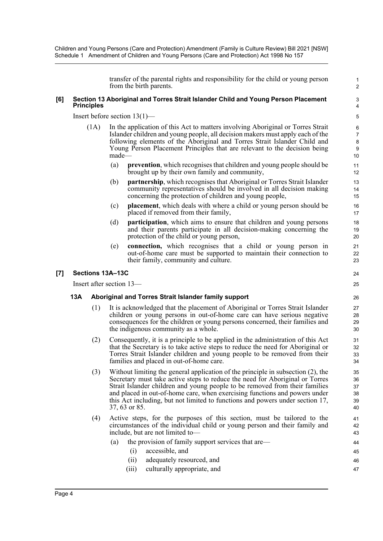transfer of the parental rights and responsibility for the child or young person from the birth parents.

1 2

24 25

47

#### **[6] Section 13 Aboriginal and Torres Strait Islander Child and Young Person Placement Principles**

Insert before section 13(1)—

- (1A) In the application of this Act to matters involving Aboriginal or Torres Strait Islander children and young people, all decision makers must apply each of the following elements of the Aboriginal and Torres Strait Islander Child and Young Person Placement Principles that are relevant to the decision being made—
	- (a) **prevention**, which recognises that children and young people should be brought up by their own family and community,
	- (b) **partnership**, which recognises that Aboriginal or Torres Strait Islander community representatives should be involved in all decision making concerning the protection of children and young people,
	- (c) **placement**, which deals with where a child or young person should be placed if removed from their family,
	- (d) **participation**, which aims to ensure that children and young persons and their parents participate in all decision-making concerning the protection of the child or young person,
	- (e) **connection,** which recognises that a child or young person in out-of-home care must be supported to maintain their connection to their family, community and culture.

#### **[7] Sections 13A–13C**

Insert after section 13—

#### **13A Aboriginal and Torres Strait Islander family support**

- (1) It is acknowledged that the placement of Aboriginal or Torres Strait Islander children or young persons in out-of-home care can have serious negative consequences for the children or young persons concerned, their families and the indigenous community as a whole.
- (2) Consequently, it is a principle to be applied in the administration of this Act that the Secretary is to take active steps to reduce the need for Aboriginal or Torres Strait Islander children and young people to be removed from their families and placed in out-of-home care.
- (3) Without limiting the general application of the principle in subsection (2), the Secretary must take active steps to reduce the need for Aboriginal or Torres Strait Islander children and young people to be removed from their families and placed in out-of-home care, when exercising functions and powers under this Act including, but not limited to functions and powers under section 17, 37, 63 or 85.
- (4) Active steps, for the purposes of this section, must be tailored to the circumstances of the individual child or young person and their family and include, but are not limited to—
	- (a) the provision of family support services that are— (i) accessible, and 44 45
		- (ii) adequately resourced, and 46
		- (iii) culturally appropriate, and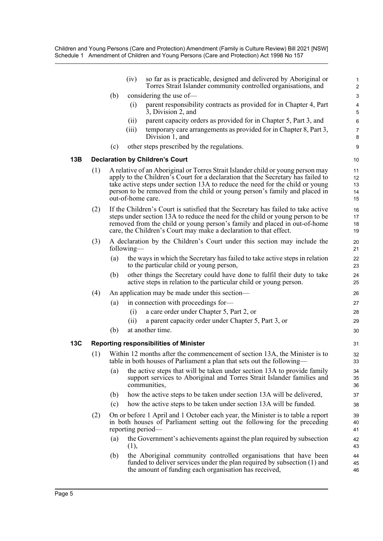|     |     |     | (iv)       | so far as is practicable, designed and delivered by Aboriginal or<br>Torres Strait Islander community controlled organisations, and                                                                                                                                                                                                                     | $\mathbf 1$<br>$\overline{2}$ |
|-----|-----|-----|------------|---------------------------------------------------------------------------------------------------------------------------------------------------------------------------------------------------------------------------------------------------------------------------------------------------------------------------------------------------------|-------------------------------|
|     |     | (b) |            | considering the use of-                                                                                                                                                                                                                                                                                                                                 | $\ensuremath{\mathsf{3}}$     |
|     |     |     | (i)        | parent responsibility contracts as provided for in Chapter 4, Part<br>3, Division 2, and                                                                                                                                                                                                                                                                | $\overline{\mathbf{4}}$<br>5  |
|     |     |     | (ii)       | parent capacity orders as provided for in Chapter 5, Part 3, and                                                                                                                                                                                                                                                                                        | $\,6$                         |
|     |     |     | (iii)      | temporary care arrangements as provided for in Chapter 8, Part 3,<br>Division 1, and                                                                                                                                                                                                                                                                    | $\boldsymbol{7}$<br>$\bf 8$   |
|     |     | (c) |            | other steps prescribed by the regulations.                                                                                                                                                                                                                                                                                                              | $\boldsymbol{9}$              |
| 13B |     |     |            | <b>Declaration by Children's Court</b>                                                                                                                                                                                                                                                                                                                  | 10                            |
|     | (1) |     |            | A relative of an Aboriginal or Torres Strait Islander child or young person may<br>apply to the Children's Court for a declaration that the Secretary has failed to<br>take active steps under section 13A to reduce the need for the child or young<br>person to be removed from the child or young person's family and placed in<br>out-of-home care. | 11<br>12<br>13<br>14<br>15    |
|     | (2) |     |            | If the Children's Court is satisfied that the Secretary has failed to take active<br>steps under section 13A to reduce the need for the child or young person to be<br>removed from the child or young person's family and placed in out-of-home<br>care, the Children's Court may make a declaration to that effect.                                   | 16<br>17<br>18<br>19          |
|     | (3) |     | following— | A declaration by the Children's Court under this section may include the                                                                                                                                                                                                                                                                                | 20<br>21                      |
|     |     | (a) |            | the ways in which the Secretary has failed to take active steps in relation<br>to the particular child or young person,                                                                                                                                                                                                                                 | 22<br>23                      |
|     |     | (b) |            | other things the Secretary could have done to fulfil their duty to take<br>active steps in relation to the particular child or young person.                                                                                                                                                                                                            | 24<br>25                      |
|     | (4) |     |            | An application may be made under this section—                                                                                                                                                                                                                                                                                                          | 26                            |
|     |     | (a) |            | in connection with proceedings for-                                                                                                                                                                                                                                                                                                                     | 27                            |
|     |     |     | (i)        | a care order under Chapter 5, Part 2, or                                                                                                                                                                                                                                                                                                                | 28                            |
|     |     |     | (ii)       | a parent capacity order under Chapter 5, Part 3, or                                                                                                                                                                                                                                                                                                     | 29                            |
|     |     | (b) |            | at another time.                                                                                                                                                                                                                                                                                                                                        | 30                            |
| 13C |     |     |            | <b>Reporting responsibilities of Minister</b>                                                                                                                                                                                                                                                                                                           | 31                            |
|     | (1) |     |            | Within 12 months after the commencement of section 13A, the Minister is to<br>table in both houses of Parliament a plan that sets out the following—                                                                                                                                                                                                    | 32<br>33                      |
|     |     | (a) |            | the active steps that will be taken under section 13A to provide family<br>support services to Aboriginal and Torres Strait Islander families and<br>communities,                                                                                                                                                                                       | 34<br>35<br>36                |
|     |     | (b) |            | how the active steps to be taken under section 13A will be delivered,                                                                                                                                                                                                                                                                                   | 37                            |
|     |     | (c) |            | how the active steps to be taken under section 13A will be funded.                                                                                                                                                                                                                                                                                      | 38                            |
|     | (2) |     |            | On or before 1 April and 1 October each year, the Minister is to table a report<br>in both houses of Parliament setting out the following for the preceding<br>reporting period—                                                                                                                                                                        | 39<br>40<br>41                |
|     |     | (a) | (1),       | the Government's achievements against the plan required by subsection                                                                                                                                                                                                                                                                                   | 42<br>43                      |
|     |     | (b) |            | the Aboriginal community controlled organisations that have been<br>funded to deliver services under the plan required by subsection (1) and<br>the amount of funding each organisation has received,                                                                                                                                                   | 44<br>45<br>46                |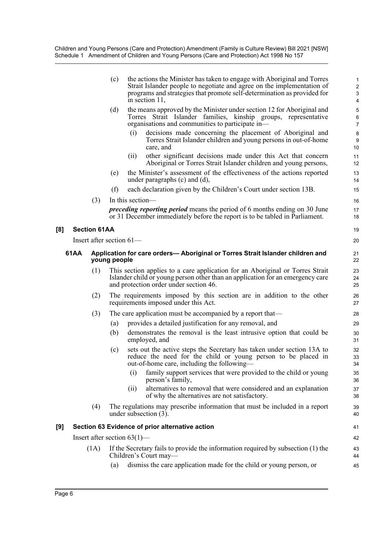|     |      |                     | (c)          | the actions the Minister has taken to engage with Aboriginal and Torres<br>Strait Islander people to negotiate and agree on the implementation of<br>programs and strategies that promote self-determination as provided for<br>in section 11, | 1<br>$\overline{\mathbf{c}}$<br>3<br>4 |
|-----|------|---------------------|--------------|------------------------------------------------------------------------------------------------------------------------------------------------------------------------------------------------------------------------------------------------|----------------------------------------|
|     |      |                     | (d)          | the means approved by the Minister under section 12 for Aboriginal and<br>Torres Strait Islander families, kinship groups, representative<br>organisations and communities to participate in-                                                  | 5<br>6<br>7                            |
|     |      |                     |              | decisions made concerning the placement of Aboriginal and<br>(i)<br>Torres Strait Islander children and young persons in out-of-home<br>care, and                                                                                              | 8<br>9<br>10                           |
|     |      |                     |              | other significant decisions made under this Act that concern<br>(i)<br>Aboriginal or Torres Strait Islander children and young persons,                                                                                                        | 11<br>12                               |
|     |      |                     | (e)          | the Minister's assessment of the effectiveness of the actions reported<br>under paragraphs $(c)$ and $(d)$ ,                                                                                                                                   | 13<br>14                               |
|     |      |                     | (f)          | each declaration given by the Children's Court under section 13B.                                                                                                                                                                              | 15                                     |
|     |      | (3)                 |              | In this section-                                                                                                                                                                                                                               | 16                                     |
|     |      |                     |              | <i>preceding reporting period</i> means the period of 6 months ending on 30 June<br>or 31 December immediately before the report is to be tabled in Parliament.                                                                                | 17<br>18                               |
| [8] |      | <b>Section 61AA</b> |              |                                                                                                                                                                                                                                                | 19                                     |
|     |      |                     |              | Insert after section $61-$                                                                                                                                                                                                                     | 20                                     |
|     | 61AA |                     | young people | Application for care orders-Aboriginal or Torres Strait Islander children and                                                                                                                                                                  | 21<br>22                               |
|     |      | (1)                 |              | This section applies to a care application for an Aboriginal or Torres Strait<br>Islander child or young person other than an application for an emergency care<br>and protection order under section 46.                                      | 23<br>24<br>25                         |
|     |      | (2)                 |              | The requirements imposed by this section are in addition to the other<br>requirements imposed under this Act.                                                                                                                                  | 26<br>27                               |
|     |      | (3)                 |              | The care application must be accompanied by a report that-                                                                                                                                                                                     | 28                                     |
|     |      |                     | (a)          | provides a detailed justification for any removal, and                                                                                                                                                                                         | 29                                     |
|     |      |                     | (b)          | demonstrates the removal is the least intrusive option that could be<br>employed, and                                                                                                                                                          | 30<br>31                               |
|     |      |                     | (c)          | sets out the active steps the Secretary has taken under section 13A to<br>reduce the need for the child or young person to be placed in<br>out-of-home care, including the following—                                                          | 32<br>33<br>34                         |
|     |      |                     |              | family support services that were provided to the child or young<br>(i)<br>person's family,                                                                                                                                                    | 35<br>36                               |
|     |      |                     |              | alternatives to removal that were considered and an explanation<br>(ii)<br>of why the alternatives are not satisfactory.                                                                                                                       | 37<br>38                               |
|     |      | (4)                 |              | The regulations may prescribe information that must be included in a report<br>under subsection $(3)$ .                                                                                                                                        | 39<br>40                               |
| [9] |      |                     |              | Section 63 Evidence of prior alternative action                                                                                                                                                                                                | 41                                     |
|     |      |                     |              | Insert after section $63(1)$ —                                                                                                                                                                                                                 | 42                                     |
|     |      | (1A)                |              | If the Secretary fails to provide the information required by subsection (1) the<br>Children's Court may-                                                                                                                                      | 43<br>44                               |
|     |      |                     | (a)          | dismiss the care application made for the child or young person, or                                                                                                                                                                            | 45                                     |

**[8]**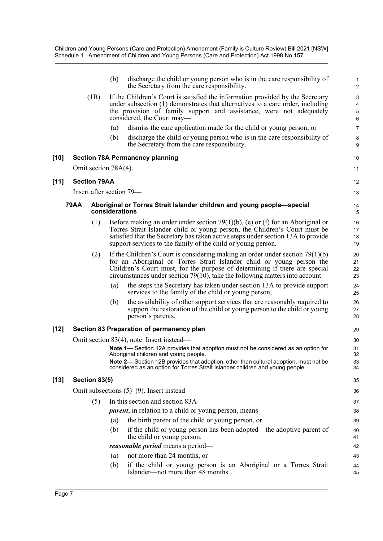|        |             |                          | (b)            | discharge the child or young person who is in the care responsibility of<br>the Secretary from the care responsibility.                                                                                                                                                                                                | 1<br>$\overline{\mathbf{c}}$ |
|--------|-------------|--------------------------|----------------|------------------------------------------------------------------------------------------------------------------------------------------------------------------------------------------------------------------------------------------------------------------------------------------------------------------------|------------------------------|
|        |             | (1B)                     |                | If the Children's Court is satisfied the information provided by the Secretary<br>under subsection (1) demonstrates that alternatives to a care order, including<br>the provision of family support and assistance, were not adequately<br>considered, the Court may—                                                  | 3<br>4<br>5<br>6             |
|        |             |                          | (a)            | dismiss the care application made for the child or young person, or                                                                                                                                                                                                                                                    | 7                            |
|        |             |                          | (b)            | discharge the child or young person who is in the care responsibility of<br>the Secretary from the care responsibility.                                                                                                                                                                                                | 8<br>9                       |
| $[10]$ |             |                          |                | <b>Section 78A Permanency planning</b>                                                                                                                                                                                                                                                                                 | 10                           |
|        |             | Omit section 78A(4).     |                |                                                                                                                                                                                                                                                                                                                        | 11                           |
| [11]   |             | <b>Section 79AA</b>      |                |                                                                                                                                                                                                                                                                                                                        | 12                           |
|        |             | Insert after section 79— |                |                                                                                                                                                                                                                                                                                                                        | 13                           |
|        | <b>79AA</b> |                          | considerations | Aboriginal or Torres Strait Islander children and young people-special                                                                                                                                                                                                                                                 | 14<br>15                     |
|        |             | (1)                      |                | Before making an order under section 79(1)(b), (e) or (f) for an Aboriginal or<br>Torres Strait Islander child or young person, the Children's Court must be<br>satisfied that the Secretary has taken active steps under section 13A to provide<br>support services to the family of the child or young person.       | 16<br>17<br>18<br>19         |
|        |             | (2)                      |                | If the Children's Court is considering making an order under section $79(1)(b)$<br>for an Aboriginal or Torres Strait Islander child or young person the<br>Children's Court must, for the purpose of determining if there are special<br>circumstances under section 79(10), take the following matters into account— | 20<br>21<br>22<br>23         |
|        |             |                          | (a)            | the steps the Secretary has taken under section 13A to provide support<br>services to the family of the child or young person,                                                                                                                                                                                         | 24<br>25                     |
|        |             |                          | (b)            | the availability of other support services that are reasonably required to<br>support the restoration of the child or young person to the child or young<br>person's parents.                                                                                                                                          | 26<br>27<br>28               |
| $[12]$ |             |                          |                | Section 83 Preparation of permanency plan                                                                                                                                                                                                                                                                              | 29                           |
|        |             |                          |                | Omit section 83(4), note. Insert instead—                                                                                                                                                                                                                                                                              | 30                           |
|        |             |                          |                | Note 1— Section 12A provides that adoption must not be considered as an option for<br>Aboriginal children and young people.                                                                                                                                                                                            | 31<br>32                     |
|        |             |                          |                | Note 2- Section 12B provides that adoption, other than cultural adoption, must not be<br>considered as an option for Torres Strait Islander children and young people.                                                                                                                                                 | 33<br>34                     |
| $[13]$ |             | Section 83(5)            |                |                                                                                                                                                                                                                                                                                                                        | 35                           |
|        |             |                          |                | Omit subsections $(5)$ – $(9)$ . Insert instead–                                                                                                                                                                                                                                                                       | 36                           |
|        |             | (5)                      |                | In this section and section 83A—                                                                                                                                                                                                                                                                                       | 37                           |
|        |             |                          |                | <i>parent</i> , in relation to a child or young person, means—                                                                                                                                                                                                                                                         | 38                           |
|        |             |                          | (a)            | the birth parent of the child or young person, or                                                                                                                                                                                                                                                                      | 39                           |
|        |             |                          | (b)            | if the child or young person has been adopted—the adoptive parent of<br>the child or young person.                                                                                                                                                                                                                     | 40<br>41                     |
|        |             |                          |                | reasonable period means a period-                                                                                                                                                                                                                                                                                      | 42                           |
|        |             |                          | (a)            | not more than 24 months, or                                                                                                                                                                                                                                                                                            | 43                           |
|        |             |                          | (b)            | if the child or young person is an Aboriginal or a Torres Strait<br>Islander—not more than 48 months.                                                                                                                                                                                                                  | 44<br>45                     |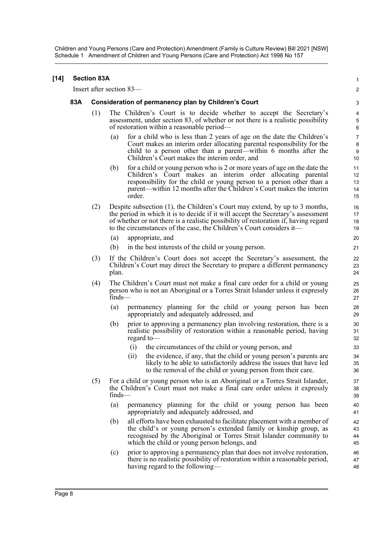| $[14]$ | <b>Section 83A</b> |     |                                                                                                                                                                                                                                                                                                                                |                                |  |  |  |
|--------|--------------------|-----|--------------------------------------------------------------------------------------------------------------------------------------------------------------------------------------------------------------------------------------------------------------------------------------------------------------------------------|--------------------------------|--|--|--|
|        |                    |     | Insert after section 83—                                                                                                                                                                                                                                                                                                       | $\overline{2}$                 |  |  |  |
|        | 83A                |     | Consideration of permanency plan by Children's Court                                                                                                                                                                                                                                                                           | 3                              |  |  |  |
|        |                    | (1) | The Children's Court is to decide whether to accept the Secretary's<br>assessment, under section 83, of whether or not there is a realistic possibility<br>of restoration within a reasonable period—                                                                                                                          | 4<br>$\sqrt{5}$<br>$\,6\,$     |  |  |  |
|        |                    |     | for a child who is less than 2 years of age on the date the Children's<br>(a)<br>Court makes an interim order allocating parental responsibility for the<br>child to a person other than a parent—within 6 months after the<br>Children's Court makes the interim order, and                                                   | $\overline{7}$<br>8<br>9<br>10 |  |  |  |
|        |                    |     | for a child or young person who is 2 or more years of age on the date the<br>(b)<br>Children's Court makes an interim order allocating parental<br>responsibility for the child or young person to a person other than a<br>parent—within 12 months after the Children's Court makes the interim<br>order.                     | 11<br>12<br>13<br>14<br>15     |  |  |  |
|        |                    | (2) | Despite subsection (1), the Children's Court may extend, by up to 3 months,<br>the period in which it is to decide if it will accept the Secretary's assessment<br>of whether or not there is a realistic possibility of restoration if, having regard<br>to the circumstances of the case, the Children's Court considers it— | 16<br>17<br>18<br>19           |  |  |  |
|        |                    |     | (a)<br>appropriate, and                                                                                                                                                                                                                                                                                                        | 20                             |  |  |  |
|        |                    |     | (b)<br>in the best interests of the child or young person.                                                                                                                                                                                                                                                                     | 21                             |  |  |  |
|        |                    | (3) | If the Children's Court does not accept the Secretary's assessment, the<br>Children's Court may direct the Secretary to prepare a different permanency<br>plan.                                                                                                                                                                | 22<br>23<br>24                 |  |  |  |
|        |                    | (4) | The Children's Court must not make a final care order for a child or young<br>person who is not an Aboriginal or a Torres Strait Islander unless it expressly<br>$finds$ —                                                                                                                                                     | 25<br>26<br>27                 |  |  |  |
|        |                    |     | permanency planning for the child or young person has been<br>(a)<br>appropriately and adequately addressed, and                                                                                                                                                                                                               | 28<br>29                       |  |  |  |
|        |                    |     | (b)<br>prior to approving a permanency plan involving restoration, there is a<br>realistic possibility of restoration within a reasonable period, having<br>regard to-                                                                                                                                                         | 30<br>31<br>32                 |  |  |  |
|        |                    |     | (i)<br>the circumstances of the child or young person, and                                                                                                                                                                                                                                                                     | 33                             |  |  |  |
|        |                    |     | the evidence, if any, that the child or young person's parents are<br>(ii)<br>likely to be able to satisfactorily address the issues that have led<br>to the removal of the child or young person from their care.                                                                                                             | 34<br>35<br>36                 |  |  |  |
|        |                    | (5) | For a child or young person who is an Aboriginal or a Torres Strait Islander,<br>the Children's Court must not make a final care order unless it expressly<br>$finds$ —                                                                                                                                                        | 37<br>38<br>39                 |  |  |  |
|        |                    |     | (a)<br>permanency planning for the child or young person has been<br>appropriately and adequately addressed, and                                                                                                                                                                                                               | 40<br>41                       |  |  |  |
|        |                    |     | (b)<br>all efforts have been exhausted to facilitate placement with a member of<br>the child's or young person's extended family or kinship group, as<br>recognised by the Aboriginal or Torres Strait Islander community to<br>which the child or young person belongs, and                                                   | 42<br>43<br>44<br>45           |  |  |  |
|        |                    |     | prior to approving a permanency plan that does not involve restoration,<br>(c)<br>there is no realistic possibility of restoration within a reasonable period,<br>having regard to the following—                                                                                                                              | 46<br>47<br>48                 |  |  |  |
|        |                    |     |                                                                                                                                                                                                                                                                                                                                |                                |  |  |  |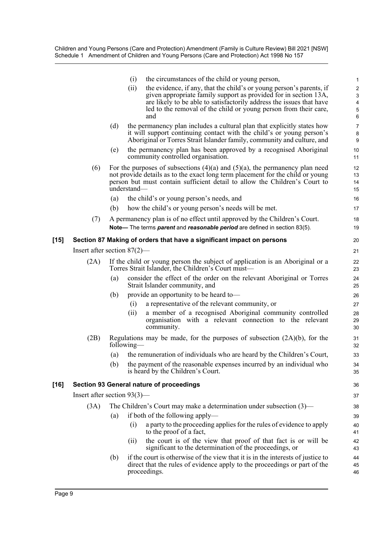|        |                                | the circumstances of the child or young person,<br>(i)                                                                                                                                                                                                                                              |
|--------|--------------------------------|-----------------------------------------------------------------------------------------------------------------------------------------------------------------------------------------------------------------------------------------------------------------------------------------------------|
|        |                                | (ii)<br>the evidence, if any, that the child's or young person's parents, if<br>given appropriate family support as provided for in section 13A,<br>are likely to be able to satisfactorily address the issues that have<br>led to the removal of the child or young person from their care,<br>and |
|        | (d)                            | the permanency plan includes a cultural plan that explicitly states how<br>it will support continuing contact with the child's or young person's<br>Aboriginal or Torres Strait Islander family, community and culture, and                                                                         |
|        | (e)                            | the permanency plan has been approved by a recognised Aboriginal<br>community controlled organisation.                                                                                                                                                                                              |
| (6)    | understand-                    | For the purposes of subsections $(4)(a)$ and $(5)(a)$ , the permanency plan need<br>not provide details as to the exact long term placement for the child or young<br>person but must contain sufficient detail to allow the Children's Court to                                                    |
|        | (a)                            | the child's or young person's needs, and                                                                                                                                                                                                                                                            |
|        | (b)                            | how the child's or young person's needs will be met.                                                                                                                                                                                                                                                |
| (7)    |                                | A permanency plan is of no effect until approved by the Children's Court.<br>Note— The terms parent and reasonable period are defined in section 83(5).                                                                                                                                             |
| $[15]$ |                                | Section 87 Making of orders that have a significant impact on persons                                                                                                                                                                                                                               |
|        | Insert after section $87(2)$ — |                                                                                                                                                                                                                                                                                                     |
| (2A)   |                                | If the child or young person the subject of application is an Aboriginal or a<br>Torres Strait Islander, the Children's Court must—                                                                                                                                                                 |
|        | (a)                            | consider the effect of the order on the relevant Aboriginal or Torres<br>Strait Islander community, and                                                                                                                                                                                             |
|        | (b)                            | provide an opportunity to be heard to-                                                                                                                                                                                                                                                              |
|        |                                | a representative of the relevant community, or<br>(i)                                                                                                                                                                                                                                               |
|        |                                | a member of a recognised Aboriginal community controlled<br>(ii)<br>organisation with a relevant connection to the relevant<br>community.                                                                                                                                                           |
|        |                                | $(2D)$ Deculations may be made for the numerous of subsection $(2\Lambda)(\Lambda)$ for the                                                                                                                                                                                                         |

- (2B) Regulations may be made, for the purposes of subsection (2A)(b), for the following—
	- (a) the remuneration of individuals who are heard by the Children's Court,
	- (b) the payment of the reasonable expenses incurred by an individual who is heard by the Children's Court.

#### **[16] Section 93 General nature of proceedings**

Insert after section 93(3)—

- (3A) The Children's Court may make a determination under subsection (3)—
	- (a) if both of the following apply—
		- (i) a party to the proceeding applies for the rules of evidence to apply to the proof of a fact,
		- (ii) the court is of the view that proof of that fact is or will be significant to the determination of the proceedings, or
		- (b) if the court is otherwise of the view that it is in the interests of justice to direct that the rules of evidence apply to the proceedings or part of the proceedings.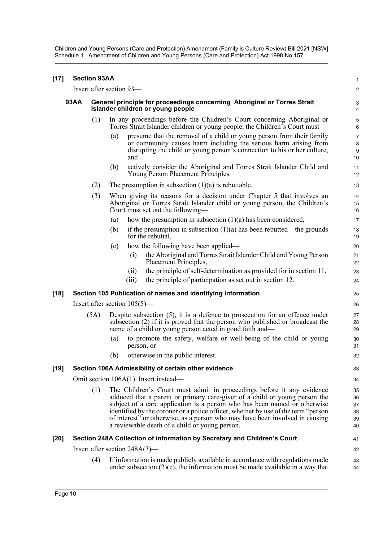| $[17]$ |             | <b>Section 93AA</b>      |                                                                                                               |                                                                                                                                                                                                                                                                                                                                                                                                                                                         | $\mathbf{1}$                     |  |  |  |
|--------|-------------|--------------------------|---------------------------------------------------------------------------------------------------------------|---------------------------------------------------------------------------------------------------------------------------------------------------------------------------------------------------------------------------------------------------------------------------------------------------------------------------------------------------------------------------------------------------------------------------------------------------------|----------------------------------|--|--|--|
|        |             | Insert after section 93- |                                                                                                               |                                                                                                                                                                                                                                                                                                                                                                                                                                                         | $\boldsymbol{2}$                 |  |  |  |
|        | <b>93AA</b> |                          | General principle for proceedings concerning Aboriginal or Torres Strait<br>Islander children or young people |                                                                                                                                                                                                                                                                                                                                                                                                                                                         |                                  |  |  |  |
|        |             | (1)                      |                                                                                                               | In any proceedings before the Children's Court concerning Aboriginal or<br>Torres Strait Islander children or young people, the Children's Court must—                                                                                                                                                                                                                                                                                                  | 5<br>$\,6\,$                     |  |  |  |
|        |             |                          | (a)                                                                                                           | presume that the removal of a child or young person from their family<br>or community causes harm including the serious harm arising from<br>disrupting the child or young person's connection to his or her culture,<br>and                                                                                                                                                                                                                            | $\overline{7}$<br>8<br>9<br>10   |  |  |  |
|        |             |                          | (b)                                                                                                           | actively consider the Aboriginal and Torres Strait Islander Child and<br>Young Person Placement Principles.                                                                                                                                                                                                                                                                                                                                             | 11<br>12                         |  |  |  |
|        |             | (2)                      |                                                                                                               | The presumption in subsection $(1)(a)$ is rebuttable.                                                                                                                                                                                                                                                                                                                                                                                                   | 13                               |  |  |  |
|        |             | (3)                      |                                                                                                               | When giving its reasons for a decision under Chapter 5 that involves an<br>Aboriginal or Torres Strait Islander child or young person, the Children's<br>Court must set out the following—                                                                                                                                                                                                                                                              | 14<br>15<br>16                   |  |  |  |
|        |             |                          | (a)                                                                                                           | how the presumption in subsection $(1)(a)$ has been considered,                                                                                                                                                                                                                                                                                                                                                                                         | 17                               |  |  |  |
|        |             |                          | (b)                                                                                                           | if the presumption in subsection $(1)(a)$ has been rebutted—the grounds<br>for the rebuttal,                                                                                                                                                                                                                                                                                                                                                            | 18<br>19                         |  |  |  |
|        |             |                          | (c)                                                                                                           | how the following have been applied—                                                                                                                                                                                                                                                                                                                                                                                                                    | 20                               |  |  |  |
|        |             |                          |                                                                                                               | the Aboriginal and Torres Strait Islander Child and Young Person<br>(i)<br>Placement Principles,                                                                                                                                                                                                                                                                                                                                                        | 21<br>22                         |  |  |  |
|        |             |                          |                                                                                                               | the principle of self-determination as provided for in section 11,<br>(i)                                                                                                                                                                                                                                                                                                                                                                               | 23                               |  |  |  |
|        |             |                          |                                                                                                               | the principle of participation as set out in section 12.<br>(iii)                                                                                                                                                                                                                                                                                                                                                                                       | 24                               |  |  |  |
| [18]   |             |                          |                                                                                                               | Section 105 Publication of names and identifying information                                                                                                                                                                                                                                                                                                                                                                                            | 25                               |  |  |  |
|        |             |                          |                                                                                                               | Insert after section $105(5)$ —                                                                                                                                                                                                                                                                                                                                                                                                                         | 26                               |  |  |  |
|        |             | (5A)                     |                                                                                                               | Despite subsection $(5)$ , it is a defence to prosecution for an offence under<br>subsection (2) if it is proved that the person who published or broadcast the<br>name of a child or young person acted in good faith and—                                                                                                                                                                                                                             | 27<br>28<br>29                   |  |  |  |
|        |             |                          | (a)                                                                                                           | to promote the safety, welfare or well-being of the child or young<br>person, or                                                                                                                                                                                                                                                                                                                                                                        | 30<br>31                         |  |  |  |
|        |             |                          | (b)                                                                                                           | otherwise in the public interest.                                                                                                                                                                                                                                                                                                                                                                                                                       | 32                               |  |  |  |
| [19]   |             |                          |                                                                                                               | Section 106A Admissibility of certain other evidence                                                                                                                                                                                                                                                                                                                                                                                                    | 33                               |  |  |  |
|        |             |                          |                                                                                                               | Omit section 106A(1). Insert instead—                                                                                                                                                                                                                                                                                                                                                                                                                   | 34                               |  |  |  |
|        |             | (1)                      |                                                                                                               | The Children's Court must admit in proceedings before it any evidence<br>adduced that a parent or primary care-giver of a child or young person the<br>subject of a care application is a person who has been named or otherwise<br>identified by the coroner or a police officer, whether by use of the term "person<br>of interest" or otherwise, as a person who may have been involved in causing<br>a reviewable death of a child or young person. | 35<br>36<br>37<br>38<br>39<br>40 |  |  |  |
| [20]   |             |                          |                                                                                                               | Section 248A Collection of information by Secretary and Children's Court                                                                                                                                                                                                                                                                                                                                                                                | 41                               |  |  |  |
|        |             |                          |                                                                                                               | Insert after section $248A(3)$ —                                                                                                                                                                                                                                                                                                                                                                                                                        | 42                               |  |  |  |
|        |             | (4)                      |                                                                                                               | If information is made publicly available in accordance with regulations made<br>under subsection $(2)(c)$ , the information must be made available in a way that                                                                                                                                                                                                                                                                                       | 43<br>44                         |  |  |  |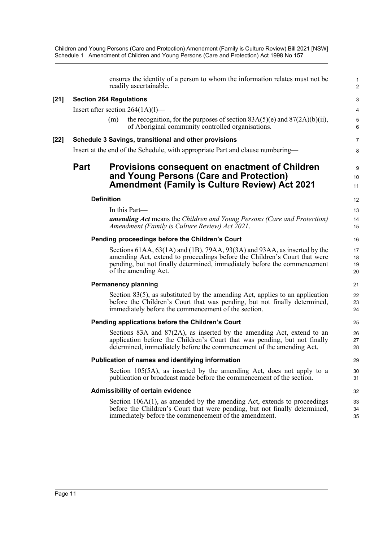|        |                                |                   | ensures the identity of a person to whom the information relates must not be<br>readily ascertainable.                                                                                                                                                     | $\mathbf{1}$<br>$\overline{2}$ |
|--------|--------------------------------|-------------------|------------------------------------------------------------------------------------------------------------------------------------------------------------------------------------------------------------------------------------------------------------|--------------------------------|
| $[21]$ | <b>Section 264 Regulations</b> |                   |                                                                                                                                                                                                                                                            | 3                              |
|        |                                |                   | Insert after section $264(1A)(1)$ —                                                                                                                                                                                                                        | 4                              |
|        |                                | (m)               | the recognition, for the purposes of section $83A(5)(e)$ and $87(2A)(b)(ii)$ ,<br>of Aboriginal community controlled organisations.                                                                                                                        | $\mathbf 5$<br>$\,6\,$         |
| [22]   |                                |                   | Schedule 3 Savings, transitional and other provisions                                                                                                                                                                                                      | $\overline{7}$                 |
|        |                                |                   | Insert at the end of the Schedule, with appropriate Part and clause numbering—                                                                                                                                                                             | 8                              |
|        | <b>Part</b>                    |                   | <b>Provisions consequent on enactment of Children</b><br>and Young Persons (Care and Protection)<br><b>Amendment (Family is Culture Review) Act 2021</b>                                                                                                   | 9<br>10<br>11                  |
|        |                                | <b>Definition</b> |                                                                                                                                                                                                                                                            | 12                             |
|        |                                |                   | In this Part-                                                                                                                                                                                                                                              | 13                             |
|        |                                |                   | <b>amending Act</b> means the Children and Young Persons (Care and Protection)<br>Amendment (Family is Culture Review) Act 2021.                                                                                                                           | 14<br>15                       |
|        |                                |                   | Pending proceedings before the Children's Court                                                                                                                                                                                                            | 16                             |
|        |                                |                   | Sections 61AA, 63(1A) and (1B), 79AA, 93(3A) and 93AA, as inserted by the<br>amending Act, extend to proceedings before the Children's Court that were<br>pending, but not finally determined, immediately before the commencement<br>of the amending Act. | 17<br>18<br>19<br>20           |
|        |                                |                   | <b>Permanency planning</b>                                                                                                                                                                                                                                 | 21                             |
|        |                                |                   | Section $83(5)$ , as substituted by the amending Act, applies to an application<br>before the Children's Court that was pending, but not finally determined,<br>immediately before the commencement of the section.                                        | 22<br>23<br>24                 |
|        |                                |                   | Pending applications before the Children's Court                                                                                                                                                                                                           | 25                             |
|        |                                |                   | Sections 83A and $87(2A)$ , as inserted by the amending Act, extend to an<br>application before the Children's Court that was pending, but not finally<br>determined, immediately before the commencement of the amending Act.                             | 26<br>27<br>28                 |
|        |                                |                   | Publication of names and identifying information                                                                                                                                                                                                           | 29                             |
|        |                                |                   | Section 105(5A), as inserted by the amending Act, does not apply to a<br>publication or broadcast made before the commencement of the section.                                                                                                             | 30<br>31                       |
|        |                                |                   | Admissibility of certain evidence                                                                                                                                                                                                                          | 32                             |
|        |                                |                   | Section $106A(1)$ , as amended by the amending Act, extends to proceedings<br>before the Children's Court that were pending, but not finally determined,<br>immediately before the commencement of the amendment.                                          | 33<br>34<br>35                 |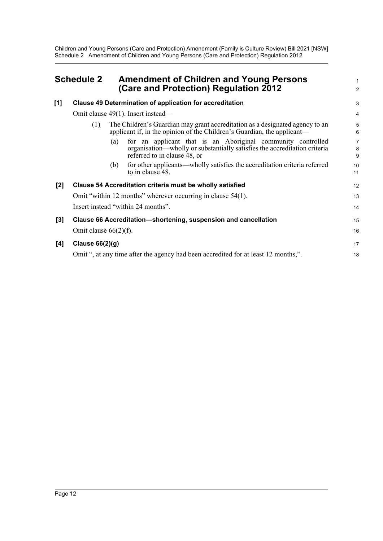## <span id="page-16-0"></span>**Schedule 2 Amendment of Children and Young Persons (Care and Protection) Regulation 2012**

|     | (Care and Protection) Regulation 2012                                                                                                                                           | $\overline{2}$                 |
|-----|---------------------------------------------------------------------------------------------------------------------------------------------------------------------------------|--------------------------------|
| [1] | Clause 49 Determination of application for accreditation                                                                                                                        | 3                              |
|     | Omit clause 49(1). Insert instead—                                                                                                                                              | $\overline{4}$                 |
|     | The Children's Guardian may grant accreditation as a designated agency to an<br>(1)<br>applicant if, in the opinion of the Children's Guardian, the applicant—                  | 5<br>6                         |
|     | for an applicant that is an Aboriginal community controlled<br>(a)<br>organisation—wholly or substantially satisfies the accreditation criteria<br>referred to in clause 48, or | $\overline{7}$<br>$\bf 8$<br>9 |
|     | for other applicants—wholly satisfies the accreditation criteria referred<br>(b)<br>to in clause 48.                                                                            | 10<br>11                       |
| [2] | Clause 54 Accreditation criteria must be wholly satisfied                                                                                                                       | 12                             |
|     | Omit "within 12 months" wherever occurring in clause 54(1).                                                                                                                     | 13                             |
|     | Insert instead "within 24 months".                                                                                                                                              | 14                             |
| [3] | Clause 66 Accreditation-shortening, suspension and cancellation                                                                                                                 | 15                             |
|     | Omit clause $66(2)(f)$ .                                                                                                                                                        | 16                             |
| [4] | Clause $66(2)(g)$                                                                                                                                                               | 17                             |
|     | Omit ", at any time after the agency had been accredited for at least 12 months,".                                                                                              | 18                             |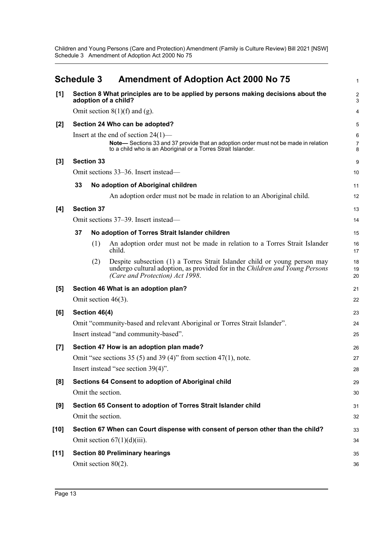Children and Young Persons (Care and Protection) Amendment (Family is Culture Review) Bill 2021 [NSW] Schedule 3 Amendment of Adoption Act 2000 No 75

<span id="page-17-0"></span>

|        |    | <b>Schedule 3</b> | <b>Amendment of Adoption Act 2000 No 75</b>                                                                                                                                                   | $\mathbf{1}$             |
|--------|----|-------------------|-----------------------------------------------------------------------------------------------------------------------------------------------------------------------------------------------|--------------------------|
| [1]    |    |                   | Section 8 What principles are to be applied by persons making decisions about the<br>adoption of a child?                                                                                     | $\overline{2}$<br>3      |
|        |    |                   | Omit section $8(1)(f)$ and (g).                                                                                                                                                               | 4                        |
| [2]    |    |                   | Section 24 Who can be adopted?                                                                                                                                                                | 5                        |
|        |    |                   | Insert at the end of section $24(1)$ —<br>Note-Sections 33 and 37 provide that an adoption order must not be made in relation<br>to a child who is an Aboriginal or a Torres Strait Islander. | 6<br>$\overline{7}$<br>8 |
| $[3]$  |    | <b>Section 33</b> |                                                                                                                                                                                               | 9                        |
|        |    |                   | Omit sections 33–36. Insert instead—                                                                                                                                                          | 10                       |
|        | 33 |                   | No adoption of Aboriginal children                                                                                                                                                            | 11                       |
|        |    |                   | An adoption order must not be made in relation to an Aboriginal child.                                                                                                                        | 12                       |
| [4]    |    | <b>Section 37</b> |                                                                                                                                                                                               | 13                       |
|        |    |                   | Omit sections 37–39. Insert instead—                                                                                                                                                          | 14                       |
|        | 37 |                   | No adoption of Torres Strait Islander children                                                                                                                                                | 15                       |
|        |    | (1)               | An adoption order must not be made in relation to a Torres Strait Islander<br>child.                                                                                                          | 16<br>17                 |
|        |    | (2)               | Despite subsection (1) a Torres Strait Islander child or young person may<br>undergo cultural adoption, as provided for in the Children and Young Persons<br>(Care and Protection) Act 1998.  | 18<br>19<br>20           |
| [5]    |    |                   | Section 46 What is an adoption plan?                                                                                                                                                          | 21                       |
|        |    |                   | Omit section $46(3)$ .                                                                                                                                                                        | 22                       |
| [6]    |    | Section 46(4)     |                                                                                                                                                                                               | 23                       |
|        |    |                   | Omit "community-based and relevant Aboriginal or Torres Strait Islander".                                                                                                                     | 24                       |
|        |    |                   | Insert instead "and community-based".                                                                                                                                                         | 25                       |
| $[7]$  |    |                   | Section 47 How is an adoption plan made?                                                                                                                                                      | 26                       |
|        |    |                   | Omit "see sections 35 (5) and 39 (4)" from section 47(1), note.                                                                                                                               | 27                       |
|        |    |                   | Insert instead "see section 39(4)".                                                                                                                                                           | 28                       |
| [8]    |    |                   | Sections 64 Consent to adoption of Aboriginal child                                                                                                                                           | 29                       |
|        |    | Omit the section. |                                                                                                                                                                                               | 30                       |
| [9]    |    |                   | Section 65 Consent to adoption of Torres Strait Islander child                                                                                                                                | 31                       |
|        |    | Omit the section. |                                                                                                                                                                                               | 32                       |
| [10]   |    |                   | Section 67 When can Court dispense with consent of person other than the child?                                                                                                               | 33                       |
|        |    |                   | Omit section $67(1)(d)(iii)$ .                                                                                                                                                                | 34                       |
| $[11]$ |    |                   | <b>Section 80 Preliminary hearings</b>                                                                                                                                                        | 35                       |
|        |    |                   | Omit section 80(2).                                                                                                                                                                           | 36                       |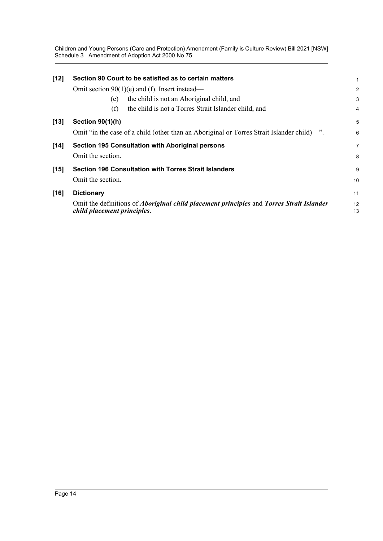Children and Young Persons (Care and Protection) Amendment (Family is Culture Review) Bill 2021 [NSW] Schedule 3 Amendment of Adoption Act 2000 No 75

| $[12]$ | Section 90 Court to be satisfied as to certain matters                                                                                | 1              |
|--------|---------------------------------------------------------------------------------------------------------------------------------------|----------------|
|        | Omit section $90(1)(e)$ and (f). Insert instead—                                                                                      | $\overline{a}$ |
|        | the child is not an Aboriginal child, and<br>(e)                                                                                      | 3              |
|        | the child is not a Torres Strait Islander child, and<br>(f)                                                                           | 4              |
| $[13]$ | <b>Section 90(1)(h)</b>                                                                                                               | 5              |
|        | Omit "in the case of a child (other than an Aboriginal or Torres Strait Islander child)—".                                            | 6              |
| $[14]$ | <b>Section 195 Consultation with Aboriginal persons</b>                                                                               | 7              |
|        | Omit the section.                                                                                                                     | 8              |
| $[15]$ | <b>Section 196 Consultation with Torres Strait Islanders</b>                                                                          | 9              |
|        | Omit the section.                                                                                                                     | 10             |
| $[16]$ | <b>Dictionary</b>                                                                                                                     | 11             |
|        | Omit the definitions of <i>Aboriginal child placement principles</i> and <i>Torres Strait Islander</i><br>child placement principles. | 12<br>13       |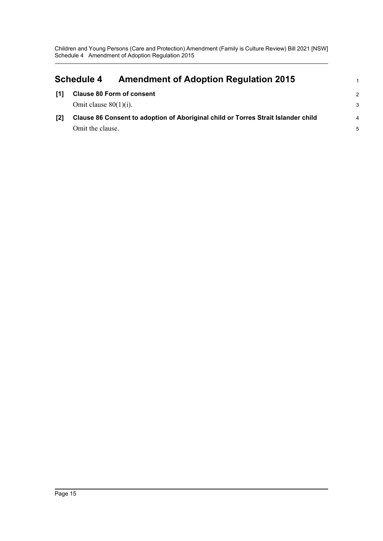<span id="page-19-0"></span>

|     | <b>Amendment of Adoption Regulation 2015</b><br><b>Schedule 4</b>                 | 1             |
|-----|-----------------------------------------------------------------------------------|---------------|
| [1] | <b>Clause 80 Form of consent</b>                                                  | $\mathcal{P}$ |
|     | Omit clause $80(1)(i)$ .                                                          | 3             |
| [2] | Clause 86 Consent to adoption of Aboriginal child or Torres Strait Islander child | 4             |
|     | Omit the clause.                                                                  | 5             |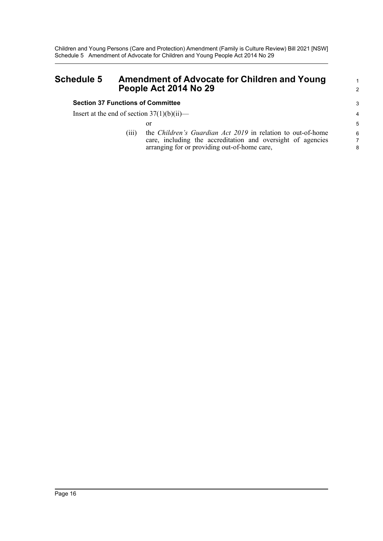# <span id="page-20-0"></span>**Schedule 5 Amendment of Advocate for Children and Young People Act 2014 No 29**

#### **Section 37 Functions of Committee**

Insert at the end of section  $37(1)(b)(ii)$ —

or

(iii) the *Children's Guardian Act 2019* in relation to out-of-home care, including the accreditation and oversight of agencies arranging for or providing out-of-home care,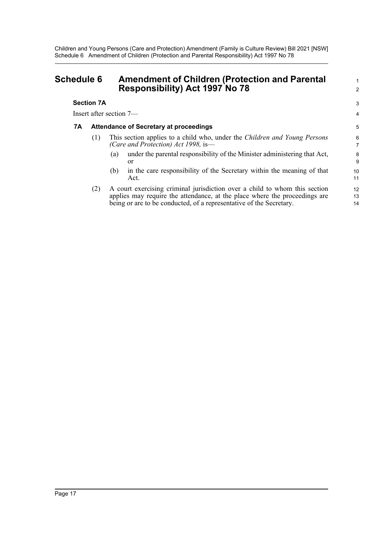## <span id="page-21-0"></span>**Schedule 6 Amendment of Children (Protection and Parental Responsibility) Act 1997 No 78**

#### **Section 7A**

Insert after section 7—

#### **7A Attendance of Secretary at proceedings**

- (1) This section applies to a child who, under the *Children and Young Persons (Care and Protection) Act 1998,* is—
	- (a) under the parental responsibility of the Minister administering that Act, or

1 2

3 4

- (b) in the care responsibility of the Secretary within the meaning of that Act.
- (2) A court exercising criminal jurisdiction over a child to whom this section applies may require the attendance, at the place where the proceedings are being or are to be conducted, of a representative of the Secretary.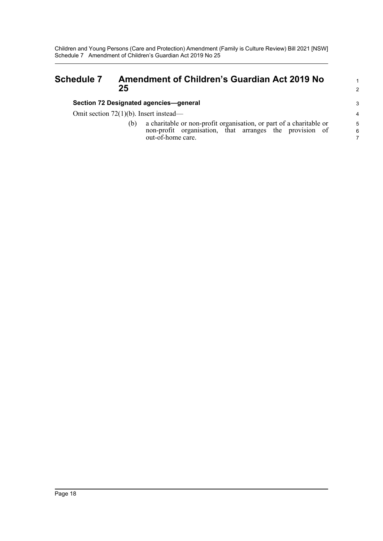## <span id="page-22-0"></span>**Schedule 7 Amendment of Children's Guardian Act 2019 No 25**

#### **Section 72 Designated agencies—general**

Omit section 72(1)(b). Insert instead—

(b) a charitable or non-profit organisation, or part of a charitable or non-profit organisation, that arranges the provision of out-of-home care.

1 2